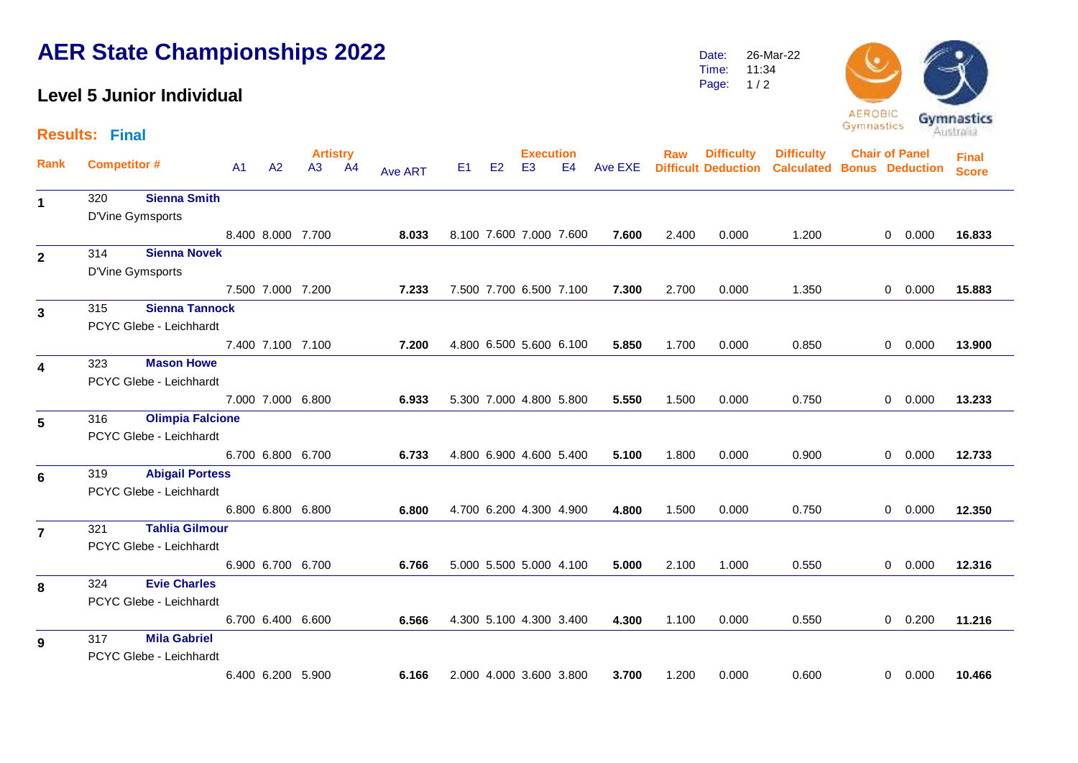## **AER State Championships 2022**

## **Level 5 Junior Individual**

Time: Page: 11:34  $1/2$ 



**Artistry Execution Rank Raw Difficult Deduction Chair of Panel Calculated Bonus Deduction Results: Final** A1 A2 A3 A4 <sub>Ave ART</sub> E1 E2 E3 E4 Ave EXE **Final Score Difficulty Difficulty Competitor #** A1 A2 A3 A4 Ave ART E1 E2 E3 E4 Ave EXE Difficult Deduction Calculated <sup>320</sup> **Sienna Smith 1** D'Vine Gymsports 8.400 8.000 7.700 **8.033** 8.100 7.600 7.000 7.600 **7.600** 2.400 0.000 1.200 0 0.000 **16.833** 314 **Sienna Novek 2** D'Vine Gymsports 7.500 7.000 7.200 **7.233** 7.500 7.700 6.500 7.100 **7.300** 2.700 0.000 1.350 0 0.000 **15.883** <sup>315</sup> **Sienna Tannock 3** PCYC Glebe - Leichhardt 7.400 7.100 7.100 **7.200** 4.800 6.500 5.600 6.100 **5.850** 1.700 0.000 0.850 0 0.000 **13.900** 323 **Mason Howe 4** PCYC Glebe - Leichhardt 7.000 7.000 6.800 **6.933** 5.300 7.000 4.800 5.800 **5.550** 1.500 0.000 0.750 0 0.000 **13.233** <sup>316</sup> **Olimpia Falcione 5** PCYC Glebe - Leichhardt 6.700 6.800 6.700 **6.733** 4.800 6.900 4.600 5.400 **5.100** 1.800 0.000 0.900 0 0.000 **12.733** 319 **Abigail Portess 6** PCYC Glebe - Leichhardt 6.800 6.800 6.800 **6.800** 4.700 6.200 4.300 4.900 **4.800** 1.500 0.000 0.750 0 0.000 **12.350** <sup>321</sup> **Tahlia Gilmour 7** PCYC Glebe - Leichhardt 6.900 6.700 6.700 **6.766** 5.000 5.500 5.000 4.100 **5.000** 2.100 1.000 0.550 0 0.000 **12.316** 324 **Evie Charles 8** PCYC Glebe - Leichhardt 6.700 6.400 6.600 **6.566** 4.300 5.100 4.300 3.400 **4.300** 1.100 0.000 0.550 0 0.200 **11.216** <sup>317</sup> **Mila Gabriel 9** PCYC Glebe - Leichhardt

6.400 6.200 5.900 **6.166** 2.000 4.000 3.600 3.800 **3.700** 1.200 0.000 0.600 0 0.000 **10.466**

Date: 26-Mar-22